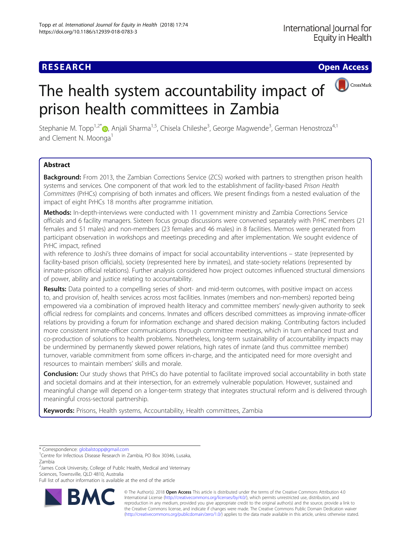# **RESEARCH CHE Open Access**

# The health system accountability impact of  $\bigcirc$   $\bigcirc$   $\bigcirc$   $\bigcirc$   $\bigcirc$   $\bigcirc$   $\bigcirc$   $\bigcirc$   $\bigcirc$   $\bigcirc$   $\bigcirc$   $\bigcirc$   $\bigcirc$   $\bigcirc$   $\bigcirc$   $\bigcirc$   $\bigcirc$   $\bigcirc$   $\bigcirc$   $\bigcirc$   $\bigcirc$   $\bigcirc$   $\bigcirc$   $\bigcirc$   $\bigcirc$   $\bigcirc$   $\bigcirc$   $\bigcirc$   $\bigcirc$   $\bigcirc$ prison health committees in Zambia

Stephanie M. Topp<sup>1[,](http://orcid.org/0000-0002-3448-7983)2\*</sup>®, Anjali Sharma<sup>1,5</sup>, Chisela Chileshe<sup>3</sup>, George Magwende<sup>3</sup>, German Henostroza<sup>4,1</sup> and Clement N. Moonga<sup>1</sup>

# Abstract

Background: From 2013, the Zambian Corrections Service (ZCS) worked with partners to strengthen prison health systems and services. One component of that work led to the establishment of facility-based Prison Health Committees (PrHCs) comprising of both inmates and officers. We present findings from a nested evaluation of the impact of eight PrHCs 18 months after programme initiation.

Methods: In-depth-interviews were conducted with 11 government ministry and Zambia Corrections Service officials and 6 facility managers. Sixteen focus group discussions were convened separately with PrHC members (21 females and 51 males) and non-members (23 females and 46 males) in 8 facilities. Memos were generated from participant observation in workshops and meetings preceding and after implementation. We sought evidence of PrHC impact, refined

with reference to Joshi's three domains of impact for social accountability interventions – state (represented by facility-based prison officials), society (represented here by inmates), and state-society relations (represented by inmate-prison official relations). Further analysis considered how project outcomes influenced structural dimensions of power, ability and justice relating to accountability.

Results: Data pointed to a compelling series of short- and mid-term outcomes, with positive impact on access to, and provision of, health services across most facilities. Inmates (members and non-members) reported being empowered via a combination of improved health literacy and committee members' newly-given authority to seek official redress for complaints and concerns. Inmates and officers described committees as improving inmate-officer relations by providing a forum for information exchange and shared decision making. Contributing factors included more consistent inmate-officer communications through committee meetings, which in turn enhanced trust and co-production of solutions to health problems. Nonetheless, long-term sustainability of accountability impacts may be undermined by permanently skewed power relations, high rates of inmate (and thus committee member) turnover, variable commitment from some officers in-charge, and the anticipated need for more oversight and resources to maintain members' skills and morale.

Conclusion: Our study shows that PrHCs do have potential to facilitate improved social accountability in both state and societal domains and at their intersection, for an extremely vulnerable population. However, sustained and meaningful change will depend on a longer-term strategy that integrates structural reform and is delivered through meaningful cross-sectoral partnership.

Keywords: Prisons, Health systems, Accountability, Health committees, Zambia

<sup>2</sup> James Cook University, College of Public Health, Medical and Veterinary Sciences, Townsville, QLD 4810, Australia

Full list of author information is available at the end of the article



© The Author(s). 2018 Open Access This article is distributed under the terms of the Creative Commons Attribution 4.0 International License [\(http://creativecommons.org/licenses/by/4.0/](http://creativecommons.org/licenses/by/4.0/)), which permits unrestricted use, distribution, and reproduction in any medium, provided you give appropriate credit to the original author(s) and the source, provide a link to the Creative Commons license, and indicate if changes were made. The Creative Commons Public Domain Dedication waiver [\(http://creativecommons.org/publicdomain/zero/1.0/](http://creativecommons.org/publicdomain/zero/1.0/)) applies to the data made available in this article, unless otherwise stated.

<sup>\*</sup> Correspondence: [globalstopp@gmail.com](mailto:globalstopp@gmail.com) <sup>1</sup>

<sup>&</sup>lt;sup>1</sup> Centre for Infectious Disease Research in Zambia, PO Box 30346, Lusaka, Zambia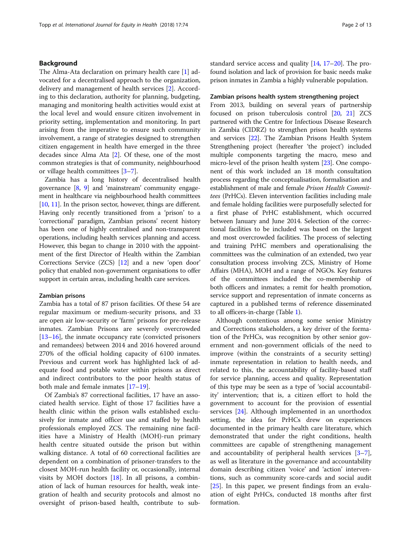# Background

The Alma-Ata declaration on primary health care [\[1](#page-11-0)] advocated for a decentralised approach to the organization, delivery and management of health services [[2\]](#page-11-0). According to this declaration, authority for planning, budgeting, managing and monitoring health activities would exist at the local level and would ensure citizen involvement in priority setting, implementation and monitoring. In part arising from the imperative to ensure such community involvement, a range of strategies designed to strengthen citizen engagement in health have emerged in the three decades since Alma Ata [[2](#page-11-0)]. Of these, one of the most common strategies is that of community, neighbourhood or village health committees [[3](#page-11-0)–[7\]](#page-11-0).

Zambia has a long history of decentralised health governance [\[8,](#page-11-0) [9](#page-11-0)] and 'mainstream' community engagement in healthcare via neighbourhood health committees [[10](#page-11-0), [11\]](#page-12-0). In the prison sector, however, things are different. Having only recently transitioned from a 'prison' to a 'correctional' paradigm, Zambian prisons' recent history has been one of highly centralised and non-transparent operations, including health services planning and access. However, this began to change in 2010 with the appointment of the first Director of Health within the Zambian Corrections Service (ZCS) [\[12](#page-12-0)] and a new 'open door' policy that enabled non-government organisations to offer support in certain areas, including health care services.

#### Zambian prisons

Zambia has a total of 87 prison facilities. Of these 54 are regular maximum or medium-security prisons, and 33 are open air low-security or 'farm' prisons for pre-release inmates. Zambian Prisons are severely overcrowded  $[13–16]$  $[13–16]$  $[13–16]$  $[13–16]$  $[13–16]$ , the inmate occupancy rate (convicted prisoners and remandees) between 2014 and 2016 hovered around 270% of the official holding capacity of 6100 inmates. Previous and current work has highlighted lack of adequate food and potable water within prisons as direct and indirect contributors to the poor health status of both male and female inmates [[17](#page-12-0)–[19](#page-12-0)].

Of Zambia's 87 correctional facilities, 17 have an associated health service. Eight of those 17 facilities have a health clinic within the prison walls established exclusively for inmate and officer use and staffed by health professionals employed ZCS. The remaining nine facilities have a Ministry of Health (MOH)-run primary health centre situated outside the prison but within walking distance. A total of 60 correctional facilities are dependent on a combination of prisoner-transfers to the closest MOH-run health facility or, occasionally, internal visits by MOH doctors [\[18](#page-12-0)]. In all prisons, a combination of lack of human resources for health, weak integration of health and security protocols and almost no oversight of prison-based health, contribute to substandard service access and quality [[14](#page-12-0), [17](#page-12-0)–[20\]](#page-12-0). The profound isolation and lack of provision for basic needs make prison inmates in Zambia a highly vulnerable population.

# Zambian prisons health system strengthening project

From 2013, building on several years of partnership focused on prison tuberculosis control [\[20](#page-12-0), [21](#page-12-0)] ZCS partnered with the Centre for Infectious Disease Research in Zambia (CIDRZ) to strengthen prison health systems and services [\[22\]](#page-12-0). The Zambian Prisons Health System Strengthening project (hereafter 'the project') included multiple components targeting the macro, meso and micro-level of the prison health system [\[23\]](#page-12-0). One component of this work included an 18 month consultation process regarding the conceptualisation, formalisation and establishment of male and female Prison Health Committees (PrHCs). Eleven intervention facilities including male and female holding facilities were purposefully selected for a first phase of PrHC establishment, which occurred between January and June 2014. Selection of the correctional facilities to be included was based on the largest and most overcrowded facilities. The process of selecting and training PrHC members and operationalising the committees was the culmination of an extended, two year consultation process involving ZCS, Ministry of Home Affairs (MHA), MOH and a range of NGOs. Key features of the committees included the co-membership of both officers and inmates; a remit for health promotion, service support and representation of inmate concerns as captured in a published terms of reference disseminated to all officers-in-charge (Table [1](#page-2-0)).

Although contentious among some senior Ministry and Corrections stakeholders, a key driver of the formation of the PrHCs, was recognition by other senior government and non-government officials of the need to improve (within the constraints of a security setting) inmate representation in relation to health needs, and related to this, the accountability of facility-based staff for service planning, access and quality. Representation of this type may be seen as a type of 'social accountability' intervention; that is, a citizen effort to hold the government to account for the provision of essential services [[24\]](#page-12-0). Although implemented in an unorthodox setting, the idea for PrHCs drew on experiences documented in the primary health care literature, which demonstrated that under the right conditions, health committees are capable of strengthening management and accountability of peripheral health services [\[3](#page-11-0)–[7](#page-11-0)], as well as literature in the governance and accountability domain describing citizen 'voice' and 'action' interventions, such as community score-cards and social audit [[25\]](#page-12-0). In this paper, we present findings from an evaluation of eight PrHCs, conducted 18 months after first formation.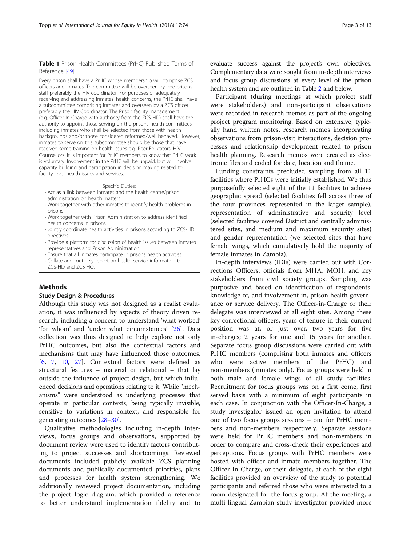#### <span id="page-2-0"></span>Table 1 Prison Health Committees (PrHC) Published Terms of Reference [\[49\]](#page-12-0)

Every prison shall have a PrHC whose membership will comprise ZCS officers and inmates. The committee will be overseen by one prisons staff preferably the HIV coordinator. For purposes of adequately receiving and addressing inmates' health concerns, the PrHC shall have a subcommittee comprising inmates and overseen by a ZCS officer preferably the HIV Coordinator. The Prison facility management (e.g. Officer In-Charge with authority from the ZCS-HD) shall have the authority to appoint those serving on the prisons health committees, including inmates who shall be selected from those with health backgrounds and/or those considered reformed/well behaved. However, inmates to serve on this subcommittee should be those that have received some training on health issues e.g. Peer Educators, HIV Counsellors. It is important for PrHC members to know that PrHC work is voluntary. Involvement in the PrHC will be unpaid, but will involve capacity building and participation in decision making related to facility-level health issues and services.

#### Specific Duties:

- Act as a link between inmates and the health centre/prison administration on health matters
- Work together with other inmates to identify health problems in prisons
- Work together with Prison Administration to address identified health concerns in prisons
- Jointly coordinate health activities in prisons according to ZCS-HD directives
- Provide a platform for discussion of health issues between inmates representatives and Prison Administration
- Ensure that all inmates participate in prisons health activities
- Collate and routinely report on health service information to ZCS-HD and ZCS HQ.

# Methods

# Study Design & Procedures

Although this study was not designed as a realist evaluation, it was influenced by aspects of theory driven research, including a concern to understand 'what worked' 'for whom' and 'under what circumstances' [\[26](#page-12-0)]. Data collection was thus designed to help explore not only PrHC outcomes, but also the contextual factors and mechanisms that may have influenced those outcomes. [[6,](#page-11-0) [7](#page-11-0), [10,](#page-11-0) [27](#page-12-0)]. Contextual factors were defined as structural features – material or relational – that lay outside the influence of project design, but which influenced decisions and operations relating to it. While "mechanisms" were understood as underlying processes that operate in particular contexts, being typically invisible, sensitive to variations in context, and responsible for generating outcomes [[28](#page-12-0)–[30\]](#page-12-0).

Qualitative methodologies including in-depth interviews, focus groups and observations, supported by document review were used to identify factors contributing to project successes and shortcomings. Reviewed documents included publicly available ZCS planning documents and publically documented priorities, plans and processes for health system strengthening. We additionally reviewed project documentation, including the project logic diagram, which provided a reference to better understand implementation fidelity and to

Participant (during meetings at which project staff were stakeholders) and non-participant observations were recorded in research memos as part of the ongoing project program monitoring. Based on extensive, typically hand written notes, research memos incorporating observations from prison-visit interactions, decision processes and relationship development related to prison health planning. Research memos were created as electronic files and coded for date, location and theme.

Funding constraints precluded sampling from all 11 facilities where PrHCs were initially established. We thus purposefully selected eight of the 11 facilities to achieve geographic spread (selected facilities fell across three of the four provinces represented in the larger sample), representation of administrative and security level (selected facilities covered District and centrally administered sites, and medium and maximum security sites) and gender representation (we selected sites that have female wings, which cumulatively hold the majority of female inmates in Zambia).

In-depth interviews (IDIs) were carried out with Corrections Officers, officials from MHA, MOH, and key stakeholders from civil society groups. Sampling was purposive and based on identification of respondents' knowledge of, and involvement in, prison health governance or service delivery. The Officer-in-Charge or their delegate was interviewed at all eight sites. Among these key correctional officers, years of tenure in their current position was at, or just over, two years for five in-charges; 2 years for one and 15 years for another. Separate focus group discussions were carried out with PrHC members (comprising both inmates and officers who were active members of the PrHC) and non-members (inmates only). Focus groups were held in both male and female wings of all study facilities. Recruitment for focus groups was on a first come, first served basis with a minimum of eight participants in each case. In conjunction with the Officer-In-Charge, a study investigator issued an open invitation to attend one of two focus groups sessions – one for PrHC members and non-members respectively. Separate sessions were held for PrHC members and non-members in order to compare and cross-check their experiences and perceptions. Focus groups with PrHC members were hosted with officer and inmate members together. The Officer-In-Charge, or their delegate, at each of the eight facilities provided an overview of the study to potential participants and referred those who were interested to a room designated for the focus group. At the meeting, a multi-lingual Zambian study investigator provided more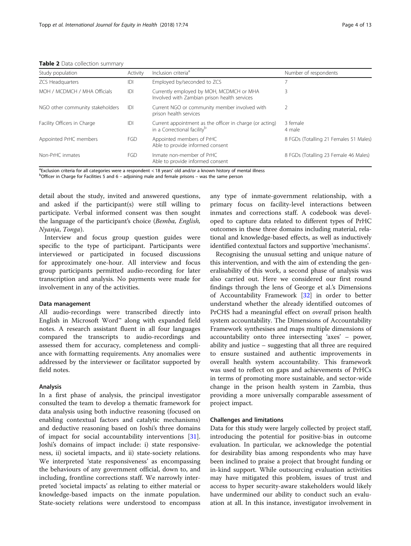<span id="page-3-0"></span>Table 2 Data collection summary

| Study population                 | Activity   | Inclusion criteria <sup>a</sup>                                                                     | Number of respondents                  |  |  |  |  |  |  |  |  |  |
|----------------------------------|------------|-----------------------------------------------------------------------------------------------------|----------------------------------------|--|--|--|--|--|--|--|--|--|
| <b>ZCS Headquarters</b>          | IDI        | Employed by/seconded to ZCS                                                                         |                                        |  |  |  |  |  |  |  |  |  |
| MOH / MCDMCH / MHA Officials     | D          | Currently employed by MOH, MCDMCH or MHA<br>Involved with Zambian prison health services            | 3                                      |  |  |  |  |  |  |  |  |  |
| NGO other community stakeholders | IDI        | Current NGO or community member involved with<br>prison health services                             |                                        |  |  |  |  |  |  |  |  |  |
| Facility Officers in Charge      | IDI        | Current appointment as the officer in charge (or acting)<br>in a Correctional facility <sup>b</sup> | 3 female<br>4 male                     |  |  |  |  |  |  |  |  |  |
| Appointed PrHC members           | <b>FGD</b> | Appointed members of PrHC<br>Able to provide informed consent                                       | 8 FGDs (Totalling 21 Females 51 Males) |  |  |  |  |  |  |  |  |  |
| Non-PrHC inmates                 | <b>FGD</b> | Inmate non-member of PrHC<br>Able to provide informed consent                                       | 8 FGDs (Totalling 23 Female 46 Males)  |  |  |  |  |  |  |  |  |  |

<sup>a</sup> Exclusion criteria for all categories were a respondent < 18 years' old and/or a known history of mental illness<br><sup>b</sup>Officer in Charge for Facilities 5 and 6 – adjoining male and female prisons – was the same person

 $b$ Officer in Charge for Facilities 5 and 6 – adjoining male and female prisons – was the same person

detail about the study, invited and answered questions, and asked if the participant(s) were still willing to participate. Verbal informed consent was then sought the language of the participant's choice (Bemba, English, Nyanja, Tonga).

Interview and focus group question guides were specific to the type of participant. Participants were interviewed or participated in focused discussions for approximately one-hour. All interview and focus group participants permitted audio-recording for later transcription and analysis. No payments were made for involvement in any of the activities.

#### Data management

All audio-recordings were transcribed directly into English in Microsoft Word™ along with expanded field notes. A research assistant fluent in all four languages compared the transcripts to audio-recordings and assessed them for accuracy, completeness and compliance with formatting requirements. Any anomalies were addressed by the interviewer or facilitator supported by field notes.

#### Analysis

In a first phase of analysis, the principal investigator consulted the team to develop a thematic framework for data analysis using both inductive reasoning (focused on enabling contextual factors and catalytic mechanisms) and deductive reasoning based on Joshi's three domains of impact for social accountability interventions [\[31](#page-12-0)]. Joshi's domains of impact include: i) state responsiveness, ii) societal impacts, and ii) state-society relations. We interpreted 'state responsiveness' as encompassing the behaviours of any government official, down to, and including, frontline corrections staff. We narrowly interpreted 'societal impacts' as relating to either material or knowledge-based impacts on the inmate population. State-society relations were understood to encompass any type of inmate-government relationship, with a primary focus on facility-level interactions between inmates and corrections staff. A codebook was developed to capture data related to different types of PrHC outcomes in these three domains including material, relational and knowledge-based effects, as well as inductively identified contextual factors and supportive 'mechanisms'.

Recognising the unusual setting and unique nature of this intervention, and with the aim of extending the generalisability of this work, a second phase of analysis was also carried out. Here we considered our first round findings through the lens of George et al.'s Dimensions of Accountability Framework [\[32](#page-12-0)] in order to better understand whether the already identified outcomes of PrCHS had a meaningful effect on overall prison health system accountability. The Dimensions of Accountability Framework synthesises and maps multiple dimensions of accountability onto three intersecting 'axes' – power, ability and justice – suggesting that all three are required to ensure sustained and authentic improvements in overall health system accountability. This framework was used to reflect on gaps and achievements of PrHCs in terms of promoting more sustainable, and sector-wide change in the prison health system in Zambia, thus providing a more universally comparable assessment of project impact.

# Challenges and limitations

Data for this study were largely collected by project staff, introducing the potential for positive-bias in outcome evaluation. In particular, we acknowledge the potential for desirability bias among respondents who may have been inclined to praise a project that brought funding or in-kind support. While outsourcing evaluation activities may have mitigated this problem, issues of trust and access to hyper security-aware stakeholders would likely have undermined our ability to conduct such an evaluation at all. In this instance, investigator involvement in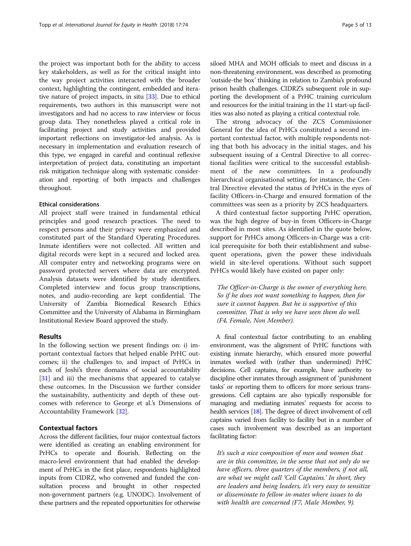the project was important both for the ability to access key stakeholders, as well as for the critical insight into the way project activities interacted with the broader context, highlighting the contingent, embedded and iterative nature of project impacts, in situ [[33](#page-12-0)]. Due to ethical requirements, two authors in this manuscript were not investigators and had no access to raw interview or focus group data. They nonetheless played a critical role in facilitating project and study activities and provided important reflections on investigator-led analysis. As is necessary in implementation and evaluation research of this type, we engaged in careful and continual reflexive interpretation of project data, constituting an important risk mitigation technique along with systematic consideration and reporting of both impacts and challenges throughout.

# Ethical considerations

All project staff were trained in fundamental ethical principles and good research practices. The need to respect persons and their privacy were emphasized and constituted part of the Standard Operating Procedures. Inmate identifiers were not collected. All written and digital records were kept in a secured and locked area. All computer entry and networking programs were on password protected servers where data are encrypted. Analysis datasets were identified by study identifiers. Completed interview and focus group transcriptions, notes, and audio-recording are kept confidential. The University of Zambia Biomedical Research Ethics Committee and the University of Alabama in Birmingham Institutional Review Board approved the study.

## Results

In the following section we present findings on: i) important contextual factors that helped enable PrHC outcomes; ii) the challenges to, and impact of PrHCs in each of Joshi's three domains of social accountability [[31\]](#page-12-0) and iii) the mechanisms that appeared to catalyse these outcomes. In the Discussion we further consider the sustainability, authenticity and depth of these outcomes with reference to George et al.'s Dimensions of Accountability Framework [\[32](#page-12-0)].

# Contextual factors

Across the different facilities, four major contextual factors were identified as creating an enabling environment for PrHCs to operate and flourish. Reflecting on the macro-level environment that had enabled the development of PrHCs in the first place, respondents highlighted inputs from CIDRZ, who convened and funded the consultation process and brought in other respected non-government partners (e.g. UNODC). Involvement of these partners and the repeated opportunities for otherwise

siloed MHA and MOH officials to meet and discuss in a non-threatening environment, was described as promoting 'outside-the box' thinking in relation to Zambia's profound prison health challenges. CIDRZ's subsequent role in supporting the development of a PrHC training curriculum and resources for the initial training in the 11 start-up facilities was also noted as playing a critical contextual role.

The strong advocacy of the ZCS Commissioner General for the idea of PrHCs constituted a second important contextual factor, with multiple respondents noting that both his advocacy in the initial stages, and his subsequent issuing of a Central Directive to all correctional facilities were critical to the successful establishment of the new committees. In a profoundly hierarchical organisational setting, for instance, the Central Directive elevated the status of PrHCs in the eyes of facility Officers-in-Charge and ensured formation of the committees was seen as a priority by ZCS headquarters.

A third contextual factor supporting PrHC operation, was the high degree of buy-in from Officers-in-Charge described in most sites. As identified in the quote below, support for PrHCs among Officers-in-Charge was a critical prerequisite for both their establishment and subsequent operations, given the power these individuals wield in site-level operations. Without such support PrHCs would likely have existed on paper only:

The Officer-in-Charge is the owner of everything here. So if he does not want something to happen, then for sure it cannot happen. But he is supportive of this committee. That is why we have seen them do well. (F4, Female, Non Member).

A final contextual factor contributing to an enabling environment, was the alignment of PrHC functions with existing inmate hierarchy, which ensured more powerful inmates worked with (rather than undermined) PrHC decisions. Cell captains, for example, have authority to discipline other inmates through assignment of 'punishment tasks' or reporting them to officers for more serious transgressions. Cell captains are also typically responsible for managing and mediating inmates' requests for access to health services [[18](#page-12-0)]. The degree of direct involvement of cell captains varied from facility to facility but in a number of cases such involvement was described as an important facilitating factor:

It's such a nice composition of men and women that are in this committee, in the sense that not only do we have officers, three quarters of the members, if not all, are what we might call 'Cell Captains.' In short, they are leaders and being leaders, it's very easy to sensitize or disseminate to fellow in-mates where issues to do with health are concerned (F7, Male Member, 9).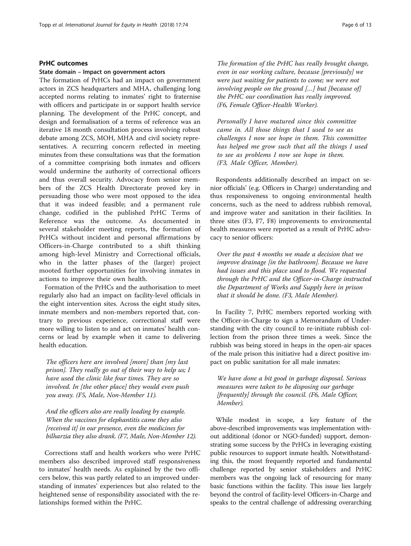# PrHC outcomes

#### State domain – Impact on government actors

The formation of PrHCs had an impact on government actors in ZCS headquarters and MHA, challenging long accepted norms relating to inmates' right to fraternise with officers and participate in or support health service planning. The development of the PrHC concept, and design and formalisation of a terms of reference was an iterative 18 month consultation process involving robust debate among ZCS, MOH, MHA and civil society representatives. A recurring concern reflected in meeting minutes from these consultations was that the formation of a committee comprising both inmates and officers would undermine the authority of correctional officers and thus overall security. Advocacy from senior members of the ZCS Health Directorate proved key in persuading those who were most opposed to the idea that it was indeed feasible; and a permanent rule change, codified in the published PrHC Terms of Reference was the outcome. As documented in several stakeholder meeting reports, the formation of PrHCs without incident and personal affirmations by Officers-in-Charge contributed to a shift thinking among high-level Ministry and Correctional officials, who in the latter phases of the (larger) project mooted further opportunities for involving inmates in actions to improve their own health.

Formation of the PrHCs and the authorisation to meet regularly also had an impact on facility-level officials in the eight intervention sites. Across the eight study sites, inmate members and non-members reported that, contrary to previous experience, correctional staff were more willing to listen to and act on inmates' health concerns or lead by example when it came to delivering health education.

The officers here are involved [more] than [my last prison]. They really go out of their way to help us; I have used the clinic like four times. They are so involved. In [the other place] they would even push you away. (F5, Male, Non-Member 11).

And the officers also are really leading by example. When the vaccines for elephantitis came they also [received it] in our presence, even the medicines for bilharzia they also drank. (F7, Male, Non-Member 12).

Corrections staff and health workers who were PrHC members also described improved staff responsiveness to inmates' health needs. As explained by the two officers below, this was partly related to an improved understanding of inmates' experiences but also related to the heightened sense of responsibility associated with the relationships formed within the PrHC.

The formation of the PrHC has really brought change, even in our working culture, because [previously] we were just waiting for patients to come; we were not involving people on the ground […] but [because of] the PrHC our coordination has really improved. (F6, Female Officer-Health Worker).

Personally I have matured since this committee came in. All those things that I used to see as challenges I now see hope in them. This committee has helped me grow such that all the things I used to see as problems I now see hope in them. (F3, Male Officer, Member).

Respondents additionally described an impact on senior officials' (e.g. Officers in Charge) understanding and thus responsiveness to ongoing environmental health concerns, such as the need to address rubbish removal, and improve water and sanitation in their facilities. In three sites (F3, F7, F8) improvements to environmental health measures were reported as a result of PrHC advocacy to senior officers:

Over the past 4 months we made a decision that we improve drainage [in the bathroom]. Because we have had issues and this place used to flood. We requested through the PrHC and the Officer-in-Charge instructed the Department of Works and Supply here in prison that it should be done. (F3, Male Member).

In Facility 7, PrHC members reported working with the Officer-in-Charge to sign a Memorandum of Understanding with the city council to re-initiate rubbish collection from the prison three times a week. Since the rubbish was being stored in heaps in the open-air spaces of the male prison this initiative had a direct positive impact on public sanitation for all male inmates:

We have done a bit good in garbage disposal. Serious measures were taken to be disposing our garbage [frequently] through the council. (F6, Male Officer, Member).

While modest in scope, a key feature of the above-described improvements was implementation without additional (donor or NGO-funded) support, demonstrating some success by the PrHCs in leveraging existing public resources to support inmate health. Notwithstanding this, the most frequently reported and fundamental challenge reported by senior stakeholders and PrHC members was the ongoing lack of resourcing for many basic functions within the facility. This issue lies largely beyond the control of facility-level Officers-in-Charge and speaks to the central challenge of addressing overarching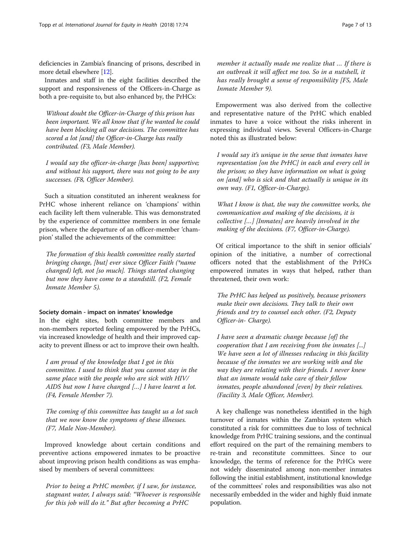deficiencies in Zambia's financing of prisons, described in more detail elsewhere [\[12](#page-12-0)].

Inmates and staff in the eight facilities described the support and responsiveness of the Officers-in-Charge as both a pre-requisite to, but also enhanced by, the PrHCs:

Without doubt the Officer-in-Charge of this prison has been important. We all know that if he wanted he could have been blocking all our decisions. The committee has scored a lot [and] the Officer-in-Charge has really contributed. (F3, Male Member).

I would say the officer-in-charge [has been] supportive; and without his support, there was not going to be any successes. (F8, Officer Member).

Such a situation constituted an inherent weakness for PrHC whose inherent reliance on 'champions' within each facility left them vulnerable. This was demonstrated by the experience of committee members in one female prison, where the departure of an officer-member 'champion' stalled the achievements of the committee:

The formation of this health committee really started bringing change, [but] ever since Officer Faith (\*name changed) left, not [so much]. Things started changing but now they have come to a standstill. (F2, Female Inmate Member 5).

# Society domain - impact on inmates' knowledge

In the eight sites, both committee members and non-members reported feeling empowered by the PrHCs, via increased knowledge of health and their improved capacity to prevent illness or act to improve their own health.

I am proud of the knowledge that I got in this committee. I used to think that you cannot stay in the same place with the people who are sick with HIV/ AIDS but now I have changed […] I have learnt a lot. (F4, Female Member 7).

The coming of this committee has taught us a lot such that we now know the symptoms of these illnesses. (F7, Male Non-Member).

Improved knowledge about certain conditions and preventive actions empowered inmates to be proactive about improving prison health conditions as was emphasised by members of several committees:

Prior to being a PrHC member, if I saw, for instance, stagnant water, I always said: "Whoever is responsible for this job will do it." But after becoming a PrHC

member it actually made me realize that … If there is an outbreak it will affect me too. So in a nutshell, it has really brought a sense of responsibility [F5, Male Inmate Member 9).

Empowerment was also derived from the collective and representative nature of the PrHC which enabled inmates to have a voice without the risks inherent in expressing individual views. Several Officers-in-Charge noted this as illustrated below:

I would say it's unique in the sense that inmates have representation [on the PrHC] in each and every cell in the prison; so they have information on what is going on [and] who is sick and that actually is unique in its own way. (F1, Officer-in-Charge).

What I know is that, the way the committee works, the communication and making of the decisions, it is collective […] [Inmates] are heavily involved in the making of the decisions. (F7, Officer-in-Charge).

Of critical importance to the shift in senior officials' opinion of the initiative, a number of correctional officers noted that the establishment of the PrHCs empowered inmates in ways that helped, rather than threatened, their own work:

The PrHC has helped us positively, because prisoners make their own decisions. They talk to their own friends and try to counsel each other. (F2, Deputy Officer-in- Charge).

I have seen a dramatic change because [of] the cooperation that I am receiving from the inmates [...] We have seen a lot of illnesses reducing in this facility because of the inmates we are working with and the way they are relating with their friends. I never knew that an inmate would take care of their fellow inmates, people abandoned [even] by their relatives. (Facility 3, Male Officer, Member).

A key challenge was nonetheless identified in the high turnover of inmates within the Zambian system which constituted a risk for committees due to loss of technical knowledge from PrHC training sessions, and the continual effort required on the part of the remaining members to re-train and reconstitute committees. Since to our knowledge, the terms of reference for the PrHCs were not widely disseminated among non-member inmates following the initial establishment, institutional knowledge of the committees' roles and responsibilities was also not necessarily embedded in the wider and highly fluid inmate population.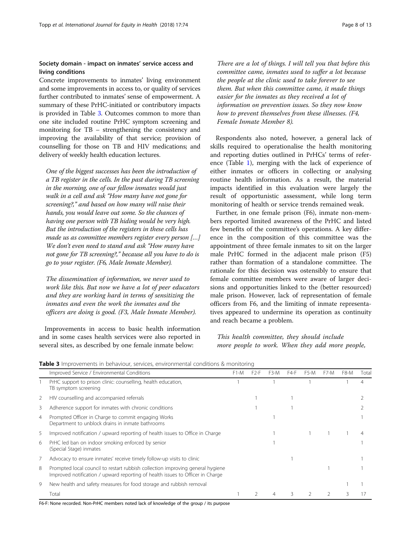# Society domain - impact on inmates' service access and living conditions

Concrete improvements to inmates' living environment and some improvements in access to, or quality of services further contributed to inmates' sense of empowerment. A summary of these PrHC-initiated or contributory impacts is provided in Table 3. Outcomes common to more than one site included routine PrHC symptom screening and monitoring for TB – strengthening the consistency and improving the availability of that service; provision of counselling for those on TB and HIV medications; and delivery of weekly health education lectures.

One of the biggest successes has been the introduction of a TB register in the cells. In the past during TB screening in the morning, one of our fellow inmates would just walk in a cell and ask "How many have not gone for screening?," and based on how many will raise their hands, you would leave out some. So the chances of having one person with TB hiding would be very high. But the introduction of the registers in these cells has made us as committee members register every person […] We don't even need to stand and ask "How many have not gone for TB screening?," because all you have to do is go to your register. (F6, Male Inmate Member).

The dissemination of information, we never used to work like this. But now we have a lot of peer educators and they are working hard in terms of sensitizing the inmates and even the work the inmates and the officers are doing is good. (F3, Male Inmate Member).

Improvements in access to basic health information and in some cases health services were also reported in several sites, as described by one female inmate below:

There are a lot of things. I will tell you that before this committee came, inmates used to suffer a lot because the people at the clinic used to take forever to see them. But when this committee came, it made things easier for the inmates as they received a lot of information on prevention issues. So they now know how to prevent themselves from these illnesses. (F4, Female Inmate Member 8).

Respondents also noted, however, a general lack of skills required to operationalise the health monitoring and reporting duties outlined in PrHCs' terms of reference (Table [1](#page-2-0)), merging with the lack of experience of either inmates or officers in collecting or analysing routine health information. As a result, the material impacts identified in this evaluation were largely the result of opportunistic assessment, while long term monitoring of health or service trends remained weak.

Further, in one female prison (F6), inmate non-members reported limited awareness of the PrHC and listed few benefits of the committee's operations. A key difference in the composition of this committee was the appointment of three female inmates to sit on the larger male PrHC formed in the adjacent male prison (F5) rather than formation of a standalone committee. The rationale for this decision was ostensibly to ensure that female committee members were aware of larger decisions and opportunities linked to the (better resourced) male prison. However, lack of representation of female officers from F6, and the limiting of inmate representatives appeared to undermine its operation as continuity and reach became a problem.

# This health committee, they should include more people to work. When they add more people,

|   | Improved Service / Environmental Conditions                                                                                                                      | F <sub>1</sub> -M | F <sub>2</sub> -F | F3-M | F4-F | F5-M | $+$ /-M | F8-M | Tota |
|---|------------------------------------------------------------------------------------------------------------------------------------------------------------------|-------------------|-------------------|------|------|------|---------|------|------|
|   | PrHC support to prison clinic: counselling, health education,<br>TB symptom screening                                                                            |                   |                   |      |      |      |         |      | 4    |
|   | HIV counselling and accompanied referrals                                                                                                                        |                   |                   |      |      |      |         |      |      |
| 3 | Adherence support for inmates with chronic conditions                                                                                                            |                   |                   |      |      |      |         |      |      |
| 4 | Prompted Officer in Charge to commit engaging Works<br>Department to unblock drains in inmate bathrooms                                                          |                   |                   |      |      |      |         |      |      |
| 5 | Improved notification / upward reporting of health issues to Office in Charge                                                                                    |                   |                   |      |      |      |         |      |      |
| 6 | PrHC led ban on indoor smoking enforced by senior<br>(Special Stage) inmates                                                                                     |                   |                   |      |      |      |         |      |      |
|   | Advocacy to ensure inmates' receive timely follow-up visits to clinic                                                                                            |                   |                   |      |      |      |         |      |      |
| 8 | Prompted local council to restart rubbish collection improving general hygiene<br>Improved notification / upward reporting of health issues to Officer in Charge |                   |                   |      |      |      |         |      |      |
| 9 | New health and safety measures for food storage and rubbish removal                                                                                              |                   |                   |      |      |      |         |      |      |
|   | Total                                                                                                                                                            |                   |                   |      |      |      |         |      |      |

**Table 3** Improvements in behaviour, services, environmental conditions & monitoring

F6-F: None recorded. Non-PrHC members noted lack of knowledge of the group / its purpose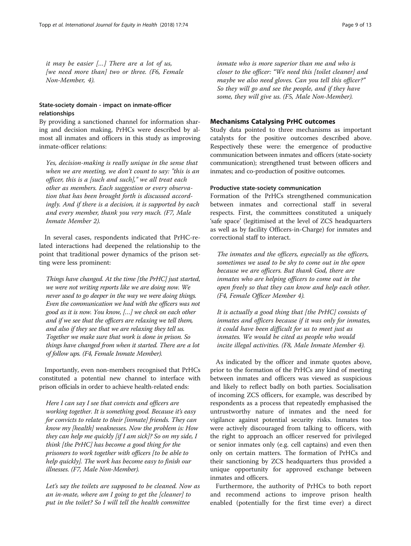it may be easier […] There are a lot of us, [we need more than] two or three. (F6, Female Non-Member, 4).

# State-society domain - impact on inmate-officer relationships

By providing a sanctioned channel for information sharing and decision making, PrHCs were described by almost all inmates and officers in this study as improving inmate-officer relations:

Yes, decision-making is really unique in the sense that when we are meeting, we don't count to say: "this is an officer, this is a [such and such]," we all treat each other as members. Each suggestion or every observation that has been brought forth is discussed accordingly. And if there is a decision, it is supported by each and every member, thank you very much. (F7, Male Inmate Member 2).

In several cases, respondents indicated that PrHC-related interactions had deepened the relationship to the point that traditional power dynamics of the prison setting were less prominent:

Things have changed. At the time [the PrHC] just started, we were not writing reports like we are doing now. We never used to go deeper in the way we were doing things. Even the communication we had with the officers was not good as it is now. You know, […] we check on each other and if we see that the officers are relaxing we tell them, and also if they see that we are relaxing they tell us. Together we make sure that work is done in prison. So things have changed from when it started. There are a lot of follow ups. (F4, Female Inmate Member).

Importantly, even non-members recognised that PrHCs constituted a potential new channel to interface with prison officials in order to achieve health-related ends:

Here I can say I see that convicts and officers are working together. It is something good. Because it's easy for convicts to relate to their [inmate] friends. They can know my [health] weaknesses. Now the problem is: How they can help me quickly [if I am sick]? So on my side, I think [the PrHC] has become a good thing for the prisoners to work together with officers [to be able to help quickly]. The work has become easy to finish our illnesses. (F7, Male Non-Member).

Let's say the toilets are supposed to be cleaned. Now as an in-mate, where am I going to get the [cleaner] to put in the toilet? So I will tell the health committee

inmate who is more superior than me and who is closer to the officer: "We need this [toilet cleaner] and maybe we also need gloves. Can you tell this officer?" So they will go and see the people, and if they have some, they will give us. (F5, Male Non-Member).

# Mechanisms Catalysing PrHC outcomes

Study data pointed to three mechanisms as important catalysts for the positive outcomes described above. Respectively these were: the emergence of productive communication between inmates and officers (state-society communication); strengthened trust between officers and inmates; and co-production of positive outcomes.

# Productive state-society communication

Formation of the PrHCs strengthened communication between inmates and correctional staff in several respects. First, the committees constituted a uniquely 'safe space' (legitimised at the level of ZCS headquarters as well as by facility Officers-in-Charge) for inmates and correctional staff to interact.

The inmates and the officers, especially us the officers, sometimes we used to be shy to come out in the open because we are officers. But thank God, there are inmates who are helping officers to come out in the open freely so that they can know and help each other. (F4, Female Officer Member 4).

It is actually a good thing that [the PrHC] consists of inmates and officers because if it was only for inmates, it could have been difficult for us to meet just as inmates. We would be cited as people who would incite illegal activities. (F8, Male Inmate Member 4).

As indicated by the officer and inmate quotes above, prior to the formation of the PrHCs any kind of meeting between inmates and officers was viewed as suspicious and likely to reflect badly on both parties. Socialisation of incoming ZCS officers, for example, was described by respondents as a process that repeatedly emphasised the untrustworthy nature of inmates and the need for vigilance against potential security risks. Inmates too were actively discouraged from talking to officers, with the right to approach an officer reserved for privileged or senior inmates only (e.g. cell captains) and even then only on certain matters. The formation of PrHCs and their sanctioning by ZCS headquarters thus provided a unique opportunity for approved exchange between inmates and officers.

Furthermore, the authority of PrHCs to both report and recommend actions to improve prison health enabled (potentially for the first time ever) a direct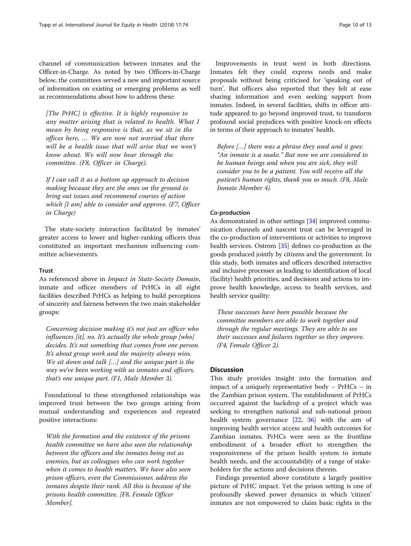channel of communication between inmates and the Officer-in-Charge. As noted by two Officers-in-Charge below, the committees served a new and important source of information on existing or emerging problems as well as recommendations about how to address these:

[The PrHC] is effective. It is highly responsive to any matter arising that is related to health. What I mean by being responsive is that, as we sit in the offices here, … We are now not worried that there will be a health issue that will arise that we won't know about. We will now hear through the committee. (F8, Officer in Charge).

If I can call it as a bottom up approach to decision making because they are the ones on the ground to bring out issues and recommend courses of action which [I am] able to consider and approve. (F7, Officer in Charge)

The state-society interaction facilitated by inmates' greater access to lower and higher-ranking officers thus constituted an important mechanism influencing committee achievements.

#### **Trust**

As referenced above in Impact in State-Society Domain, inmate and officer members of PrHCs in all eight facilities described PrHCs as helping to build perceptions of sincerity and fairness between the two main stakeholder groups:

Concerning decision making it's not just an officer who influences [it], no. It's actually the whole group [who] decides. It's not something that comes from one person. It's about group work and the majority always wins. We sit down and talk [...] and the unique part is the way we've been working with us inmates and officers, that's one unique part. (F1, Male Member 3).

Foundational to these strengthened relationships was improved trust between the two groups arising from mutual understanding and experiences and repeated positive interactions:

With the formation and the existence of the prisons health committee we have also seen the relationship between the officers and the inmates being not as enemies, but as colleagues who can work together when it comes to health matters. We have also seen prison officers, even the Commissioner, address the inmates despite their rank. All this is because of the prisons health committee. [F8, Female Officer Member].

Improvements in trust went in both directions. Inmates felt they could express needs and make proposals without being criticised for 'speaking out of turn'. But officers also reported that they felt at ease sharing information and even seeking support from inmates. Indeed, in several facilities, shifts in officer attitude appeared to go beyond improved trust, to transform profound social prejudices with positive knock-on effects in terms of their approach to inmates' health.

Before […] there was a phrase they used and it goes: "An inmate is a snake." But now we are considered to be human beings and when you are sick, they will consider you to be a patient. You will receive all the patient's human rights, thank you so much. (F8, Male Inmate Member 4).

#### Co-production

As demonstrated in other settings [[34](#page-12-0)] improved communication channels and nascent trust can be leveraged in the co-production of interventions or activities to improve health services. Ostrom [[35](#page-12-0)] defines co-production as the goods produced jointly by citizens and the government. In this study, both inmates and officers described interactive and inclusive processes as leading to identification of local (facility) health priorities, and decisions and actions to improve health knowledge, access to health services, and health service quality:

These successes have been possible because the committee members are able to work together and through the regular meetings. They are able to see their successes and failures together so they improve. (F4, Female Officer 2).

# **Discussion**

This study provides insight into the formation and impact of a uniquely representative body – PrHCs – in the Zambian prison system. The establishment of PrHCs occurred against the backdrop of a project which was seeking to strengthen national and sub-national prison health system governance  $[22, 36]$  $[22, 36]$  $[22, 36]$  $[22, 36]$  $[22, 36]$  with the aim of improving health service access and health outcomes for Zambian inmates. PrHCs were seen as the frontline embodiment of a broader effort to strengthen the responsiveness of the prison health system to inmate health needs, and the accountability of a range of stakeholders for the actions and decisions therein.

Findings presented above constitute a largely positive picture of PrHC impact. Yet the prison setting is one of profoundly skewed power dynamics in which 'citizen' inmates are not empowered to claim basic rights in the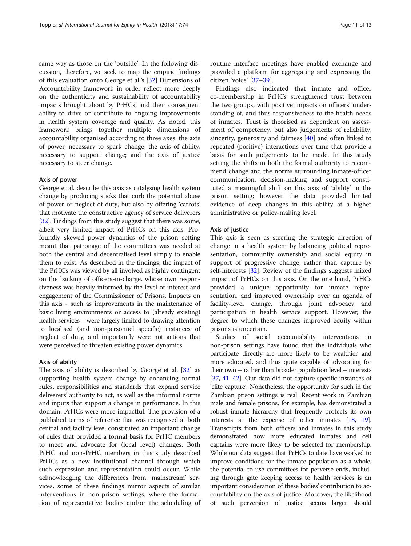same way as those on the 'outside'. In the following discussion, therefore, we seek to map the empiric findings of this evaluation onto George et al.'s [\[32](#page-12-0)] Dimensions of Accountability framework in order reflect more deeply on the authenticity and sustainability of accountability impacts brought about by PrHCs, and their consequent ability to drive or contribute to ongoing improvements in health system coverage and quality. As noted, this framework brings together multiple dimensions of accountability organised according to three axes: the axis of power, necessary to spark change; the axis of ability, necessary to support change; and the axis of justice necessary to steer change.

#### Axis of power

George et al. describe this axis as catalysing health system change by producing sticks that curb the potential abuse of power or neglect of duty, but also by offering 'carrots' that motivate the constructive agency of service deliverers [[32](#page-12-0)]. Findings from this study suggest that there was some, albeit very limited impact of PrHCs on this axis. Profoundly skewed power dynamics of the prison setting meant that patronage of the committees was needed at both the central and decentralised level simply to enable them to exist. As described in the findings, the impact of the PrHCs was viewed by all involved as highly contingent on the backing of officers-in-charge, whose own responsiveness was heavily informed by the level of interest and engagement of the Commissioner of Prisons. Impacts on this axis - such as improvements in the maintenance of basic living environments or access to (already existing) health services - were largely limited to drawing attention to localised (and non-personnel specific) instances of neglect of duty, and importantly were not actions that were perceived to threaten existing power dynamics.

# Axis of ability

The axis of ability is described by George et al. [\[32](#page-12-0)] as supporting health system change by enhancing formal rules, responsibilities and standards that expand service deliverers' authority to act, as well as the informal norms and inputs that support a change in performance. In this domain, PrHCs were more impactful. The provision of a published terms of reference that was recognised at both central and facility level constituted an important change of rules that provided a formal basis for PrHC members to meet and advocate for (local level) changes. Both PrHC and non-PrHC members in this study described PrHCs as a new institutional channel through which such expression and representation could occur. While acknowledging the differences from 'mainstream' services, some of these findings mirror aspects of similar interventions in non-prison settings, where the formation of representative bodies and/or the scheduling of

routine interface meetings have enabled exchange and provided a platform for aggregating and expressing the citizen 'voice' [\[37](#page-12-0)–[39\]](#page-12-0).

Findings also indicated that inmate and officer co-membership in PrHCs strengthened trust between the two groups, with positive impacts on officers' understanding of, and thus responsiveness to the health needs of inmates. Trust is theorised as dependent on assessment of competency, but also judgements of reliability, sincerity, generosity and fairness [\[40\]](#page-12-0) and often linked to repeated (positive) interactions over time that provide a basis for such judgements to be made. In this study setting the shifts in both the formal authority to recommend change and the norms surrounding inmate-officer communication, decision-making and support constituted a meaningful shift on this axis of 'ability' in the prison setting; however the data provided limited evidence of deep changes in this ability at a higher administrative or policy-making level.

#### Axis of justice

This axis is seen as steering the strategic direction of change in a health system by balancing political representation, community ownership and social equity in support of progressive change, rather than capture by self-interests [[32\]](#page-12-0). Review of the findings suggests mixed impact of PrHCs on this axis. On the one hand, PrHCs provided a unique opportunity for inmate representation, and improved ownership over an agenda of facility-level change, through joint advocacy and participation in health service support. However, the degree to which these changes improved equity within prisons is uncertain.

Studies of social accountability interventions in non-prison settings have found that the individuals who participate directly are more likely to be wealthier and more educated, and thus quite capable of advocating for their own – rather than broader population level – interests [[37](#page-12-0), [41,](#page-12-0) [42\]](#page-12-0). Our data did not capture specific instances of 'elite capture'. Nonetheless, the opportunity for such in the Zambian prison settings is real. Recent work in Zambian male and female prisons, for example, has demonstrated a robust inmate hierarchy that frequently protects its own interests at the expense of other inmates [[18](#page-12-0), [19](#page-12-0)]. Transcripts from both officers and inmates in this study demonstrated how more educated inmates and cell captains were more likely to be selected for membership. While our data suggest that PrHCs to date have worked to improve conditions for the inmate population as a whole, the potential to use committees for perverse ends, including through gate keeping access to health services is an important consideration of these bodies' contribution to accountability on the axis of justice. Moreover, the likelihood of such perversion of justice seems larger should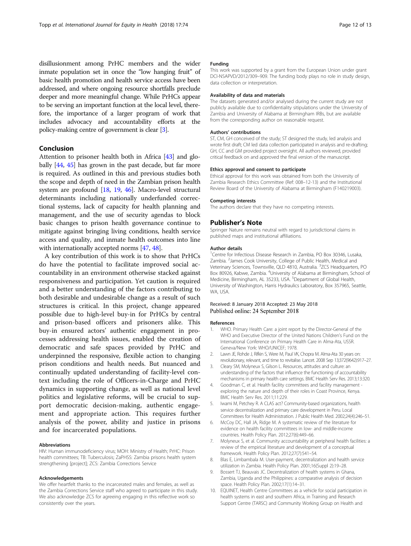<span id="page-11-0"></span>disillusionment among PrHC members and the wider inmate population set in once the "low hanging fruit" of basic health promotion and health service access have been addressed, and where ongoing resource shortfalls preclude deeper and more meaningful change. While PrHCs appear to be serving an important function at the local level, therefore, the importance of a larger program of work that includes advocacy and accountability efforts at the policy-making centre of government is clear [3].

# Conclusion

Attention to prisoner health both in Africa [\[43\]](#page-12-0) and globally [[44](#page-12-0), [45\]](#page-12-0) has grown in the past decade, but far more is required. As outlined in this and previous studies both the scope and depth of need in the Zambian prison health system are profound [\[18,](#page-12-0) [19,](#page-12-0) [46](#page-12-0)]. Macro-level structural determinants including nationally underfunded correctional systems, lack of capacity for health planning and management, and the use of security agendas to block basic changes to prison health governance continue to mitigate against bringing living conditions, health service access and quality, and inmate health outcomes into line with internationally accepted norms [\[47,](#page-12-0) [48](#page-12-0)].

A key contribution of this work is to show that PrHCs do have the potential to facilitate improved social accountability in an environment otherwise stacked against responsiveness and participation. Yet caution is required and a better understanding of the factors contributing to both desirable and undesirable change as a result of such structures is critical. In this project, change appeared possible due to high-level buy-in for PrHCs by central and prison-based officers and prisoners alike. This buy-in ensured actors' authentic engagement in processes addressing health issues, enabled the creation of democratic and safe spaces provided by PrHC and underpinned the responsive, flexible action to changing prison conditions and health needs. But nuanced and continually updated understanding of facility-level context including the role of Officers-in-Charge and PrHC dynamics in supporting change, as well as national level politics and legislative reforms, will be crucial to support democratic decision-making, authentic engagement and appropriate action. This requires further analysis of the power, ability and justice in prisons and for incarcerated populations.

#### Abbreviations

HIV: Human immunodeficiency virus; MOH: Ministry of Health; PrHC: Prison health committees; TB: Tuberculosis; ZaPHSS: Zambia prisons health system strengthening [project]; ZCS: Zambia Corrections Service

#### Acknowledgements

We offer heartfelt thanks to the incarcerated males and females, as well as the Zambia Corrections Service staff who agreed to participate in this study. We also acknowledge ZCS for agreeing engaging in this reflective work so consistently over the years.

#### Funding

This work was supported by a grant from the European Union under grant DCI-NSAPVD/2012/309–909. The funding body plays no role in study design, data collection or interpretation.

#### Availability of data and materials

The datasets generated and/or analysed during the current study are not publicly available due to confidentiality sitipulations under the University of Zambia and University of Alabama at Birmingham IRBs, but are available from the corresponding author on reasonable request.

#### Authors' contributions

ST, CM, GH conceived of the study; ST designed the study, led analysis and wrote first draft; CM led data collection participated in analysis and re-drafting; GH, CC and GM provided project oversight. All authors reviewed, provided critical feedback on and approved the final version of the manuscript.

#### Ethics approval and consent to participate

Ethical approval for this work was obtained from both the University of Zambia Research Ethics Committee (Ref: 008–12-13) and the Institutional Review Board of the University of Alabama at Birmingham (F140219003).

#### Competing interests

The authors declare that they have no competing interests.

# Publisher's Note

Springer Nature remains neutral with regard to jurisdictional claims in published maps and institutional affiliations.

#### Author details

<sup>1</sup> Centre for Infectious Disease Research in Zambia, PO Box 30346, Lusaka Zambia. <sup>2</sup>James Cook University, College of Public Health, Medical and Veterinary Sciences, Townsville, QLD 4810, Australia. <sup>3</sup>ZCS Headquarters, PO Box 80926, Kabwe, Zambia. <sup>4</sup>University of Alabama at Birmingham, School of Medicine, Birmingham, AL 35233, USA. <sup>5</sup>Department of Global Health University of Washington, Harris Hydraulics Laboratory, Box 357965, Seattle, WA, USA.

# Received: 8 January 2018 Accepted: 23 May 2018 Published online: 24 September 2018

#### References

- 1. WHO. Primary Health Care: a joint report by the Director-General of the WHO and Executive Director of the United Nations Children's Fund on the International Conference on Primary Health Care in Alma-Ata, USSR. Geneva/New York: WHO/UNICEF; 1978.
- 2. Lawn JE, Rohde J, Rifkin S, Were M, Paul VK, Chopra M. Alma-Ata 30 years on: revolutionary, relevant, and time to revitalise. Lancet. 2008 Sep 13;372(9642):917–27.
- 3. Cleary SM, Molyneux S, Gilson L. Resources, attitudes and culture: an understanding of the factors that influence the functioning of accountability mechanisms in primary health care settings. BMC Health Serv Res. 2013;13:320.
- 4. Goodman C, et al. Health facility committees and facility management exploring the nature and depth of their roles in Coast Province, Kenya. BMC Health Serv Res. 2011;11:229.
- Iwami M, Petchey R. A CLAS act? Community-based organizations, health service decentralization and primary care development in Peru. Local Committees for Health Administration. J Public Health Med. 2002;24(4):246–51.
- 6. McCoy DC, Hall JA, Ridge M. A systematic review of the literature for evidence on health facility committees in low- and middle-income countries. Health Policy Plan. 2012;27(6):449–66.
- 7. Molyneux S, et al. Community accountability at peripheral health facilities: a review of the empirical literature and development of a conceptual framework. Health Policy Plan. 2012;27(7):541–54.
- 8. Blas E, Limbambala M. User-payment, decentralization and health service utilization in Zambia. Health Policy Plan. 2001;16(Suppl 2):19–28.
- 9. Bossert TJ, Beauvais JC. Decentralization of health systems in Ghana, Zambia, Uganda and the Philippines: a comparative analysis of decision space. Health Policy Plan. 2002;17(1):14–31.
- 10. EQUINET, Health Centre Committees as a vehicle for social participation in health systems in east and southern Africa, in Training and Research Support Centre (TARSC) and Community Working Group on Health and